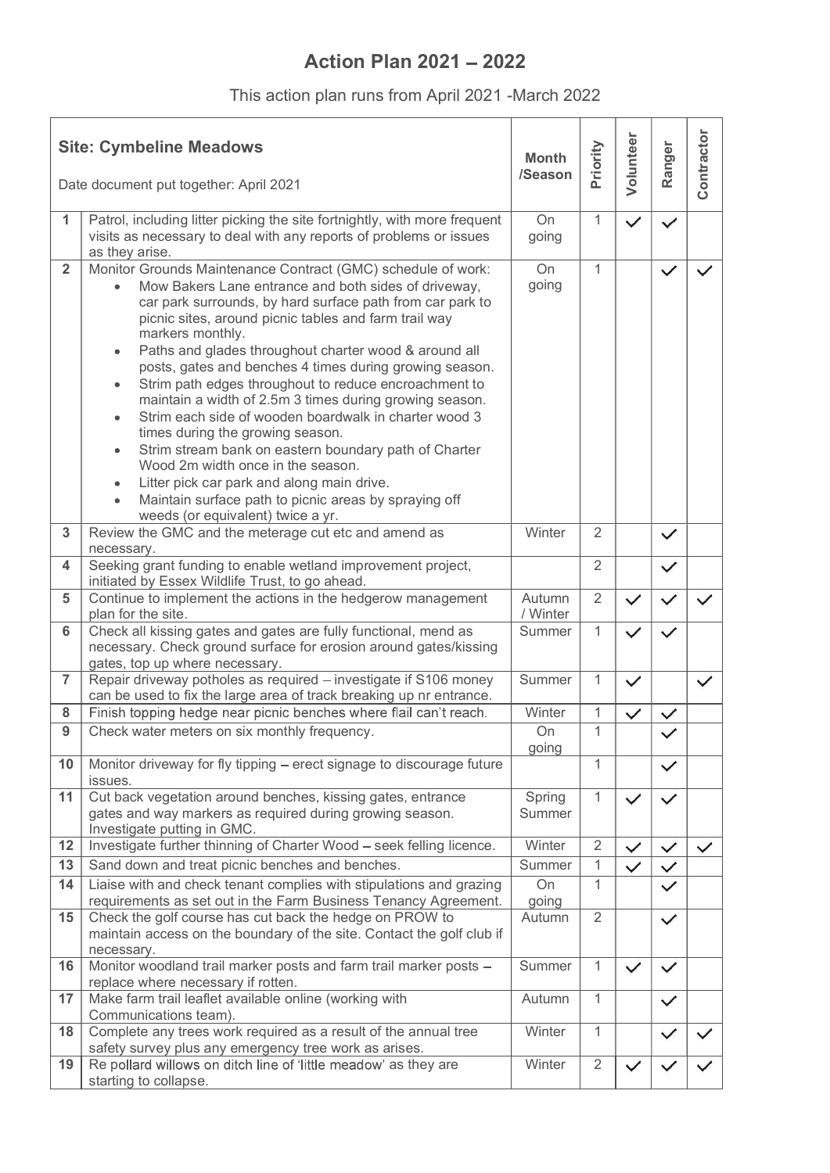## Action Plan  $2021 - 2022$

|                | This action plan runs from April 2021 - March 2022                                                                                                                                                                                                                                                                                                                                                                                                                                                                                                                                                                                                                                                                                                                                                                                                         |                         |                |              |              |                |
|----------------|------------------------------------------------------------------------------------------------------------------------------------------------------------------------------------------------------------------------------------------------------------------------------------------------------------------------------------------------------------------------------------------------------------------------------------------------------------------------------------------------------------------------------------------------------------------------------------------------------------------------------------------------------------------------------------------------------------------------------------------------------------------------------------------------------------------------------------------------------------|-------------------------|----------------|--------------|--------------|----------------|
|                |                                                                                                                                                                                                                                                                                                                                                                                                                                                                                                                                                                                                                                                                                                                                                                                                                                                            |                         |                |              |              |                |
|                | <b>Site: Cymbeline Meadows</b>                                                                                                                                                                                                                                                                                                                                                                                                                                                                                                                                                                                                                                                                                                                                                                                                                             | <b>Month</b><br>/Season | Priority       | Volunteer    | Ranger       | ontractor      |
|                | Date document put together: April 2021                                                                                                                                                                                                                                                                                                                                                                                                                                                                                                                                                                                                                                                                                                                                                                                                                     |                         |                |              |              | $\overline{O}$ |
| 1              | Patrol, including litter picking the site fortnightly, with more frequent<br>visits as necessary to deal with any reports of problems or issues<br>as they arise.                                                                                                                                                                                                                                                                                                                                                                                                                                                                                                                                                                                                                                                                                          | On<br>going             | $\mathbf{1}$   | $\checkmark$ | $\checkmark$ |                |
| $\overline{2}$ | Monitor Grounds Maintenance Contract (GMC) schedule of work:<br>Mow Bakers Lane entrance and both sides of driveway,<br>$\bullet$<br>car park surrounds, by hard surface path from car park to<br>picnic sites, around picnic tables and farm trail way<br>markers monthly.<br>Paths and glades throughout charter wood & around all<br>posts, gates and benches 4 times during growing season.<br>Strim path edges throughout to reduce encroachment to<br>maintain a width of 2.5m 3 times during growing season.<br>Strim each side of wooden boardwalk in charter wood 3<br>times during the growing season.<br>Strim stream bank on eastern boundary path of Charter<br>Wood 2m width once in the season.<br>Litter pick car park and along main drive.<br>Maintain surface path to picnic areas by spraying off<br>weeds (or equivalent) twice a yr. | On<br>going             | $\mathbf{1}$   |              | $\checkmark$ | $\checkmark$   |
| 3              | Review the GMC and the meterage cut etc and amend as<br>necessary.                                                                                                                                                                                                                                                                                                                                                                                                                                                                                                                                                                                                                                                                                                                                                                                         | Winter                  | 2              |              | $\checkmark$ |                |
| $\overline{4}$ | Seeking grant funding to enable wetland improvement project,<br>initiated by Essex Wildlife Trust, to go ahead.                                                                                                                                                                                                                                                                                                                                                                                                                                                                                                                                                                                                                                                                                                                                            |                         | $\overline{2}$ |              | $\checkmark$ |                |
| 5              | Continue to implement the actions in the hedgerow management                                                                                                                                                                                                                                                                                                                                                                                                                                                                                                                                                                                                                                                                                                                                                                                               | Autumn                  | $\overline{2}$ | $\checkmark$ | $\checkmark$ | $\checkmark$   |
| $6\phantom{1}$ | plan for the site.<br>Check all kissing gates and gates are fully functional, mend as<br>necessary. Check ground surface for erosion around gates/kissing                                                                                                                                                                                                                                                                                                                                                                                                                                                                                                                                                                                                                                                                                                  | / Winter<br>Summer      | 1              | $\checkmark$ | $\checkmark$ |                |
| $\overline{7}$ | gates, top up where necessary.<br>Repair driveway potholes as required - investigate if S106 money                                                                                                                                                                                                                                                                                                                                                                                                                                                                                                                                                                                                                                                                                                                                                         | Summer                  | 1              | $\checkmark$ |              | $\checkmark$   |
| 8              | can be used to fix the large area of track breaking up nr entrance.<br>Finish topping hedge near picnic benches where flail can't reach.                                                                                                                                                                                                                                                                                                                                                                                                                                                                                                                                                                                                                                                                                                                   | Winter                  |                | $\checkmark$ | $\checkmark$ |                |
| 9              | Check water meters on six monthly frequency.                                                                                                                                                                                                                                                                                                                                                                                                                                                                                                                                                                                                                                                                                                                                                                                                               | On                      | $\mathbf{1}$   |              | $\checkmark$ |                |
| 10             | Monitor driveway for fly tipping – erect signage to discourage future                                                                                                                                                                                                                                                                                                                                                                                                                                                                                                                                                                                                                                                                                                                                                                                      | going                   | $\mathbf{1}$   |              |              |                |
|                | issues.                                                                                                                                                                                                                                                                                                                                                                                                                                                                                                                                                                                                                                                                                                                                                                                                                                                    |                         |                |              | $\checkmark$ |                |
| 11             | Cut back vegetation around benches, kissing gates, entrance<br>gates and way markers as required during growing season.<br>Investigate putting in GMC.                                                                                                                                                                                                                                                                                                                                                                                                                                                                                                                                                                                                                                                                                                     | Spring<br>Summer        | $\mathbf{1}$   | $\checkmark$ | $\checkmark$ |                |
| 12             | Investigate further thinning of Charter Wood - seek felling licence.                                                                                                                                                                                                                                                                                                                                                                                                                                                                                                                                                                                                                                                                                                                                                                                       | Winter                  | 2              | $\checkmark$ | $\checkmark$ | $\checkmark$   |
| 13             | Sand down and treat picnic benches and benches.                                                                                                                                                                                                                                                                                                                                                                                                                                                                                                                                                                                                                                                                                                                                                                                                            | Summer                  | $\mathbf{1}$   | $\checkmark$ | $\checkmark$ |                |
| 14             | Liaise with and check tenant complies with stipulations and grazing<br>requirements as set out in the Farm Business Tenancy Agreement.                                                                                                                                                                                                                                                                                                                                                                                                                                                                                                                                                                                                                                                                                                                     | On<br>going             | 1              |              | $\checkmark$ |                |
| 15             | Check the golf course has cut back the hedge on PROW to<br>maintain access on the boundary of the site. Contact the golf club if<br>necessary.                                                                                                                                                                                                                                                                                                                                                                                                                                                                                                                                                                                                                                                                                                             | Autumn                  | 2              |              | $\checkmark$ |                |
| 16             | Monitor woodland trail marker posts and farm trail marker posts -<br>replace where necessary if rotten.                                                                                                                                                                                                                                                                                                                                                                                                                                                                                                                                                                                                                                                                                                                                                    | Summer                  | $\mathbf{1}$   | $\checkmark$ | $\checkmark$ |                |
| 17             | Make farm trail leaflet available online (working with                                                                                                                                                                                                                                                                                                                                                                                                                                                                                                                                                                                                                                                                                                                                                                                                     | Autumn                  |                |              | $\checkmark$ |                |
| 18             | Communications team).<br>Complete any trees work required as a result of the annual tree<br>safety survey plus any emergency tree work as arises.                                                                                                                                                                                                                                                                                                                                                                                                                                                                                                                                                                                                                                                                                                          | Winter                  | $\mathbf{1}$   |              | $\checkmark$ | $\checkmark$   |
| 19             | Re pollard willows on ditch line of 'little meadow' as they are<br>starting to collapse.                                                                                                                                                                                                                                                                                                                                                                                                                                                                                                                                                                                                                                                                                                                                                                   | Winter                  | $\overline{2}$ | $\checkmark$ | $\checkmark$ | $\checkmark$   |